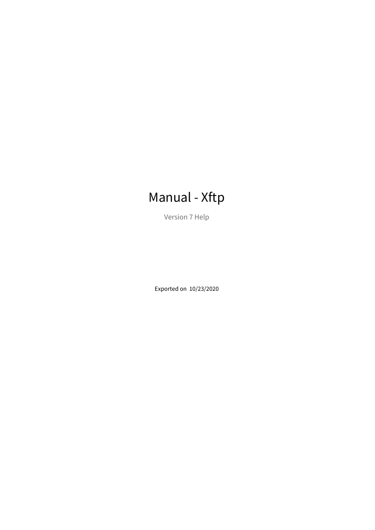# Manual - Xftp

Version 7 Help

Exported on 10/23/2020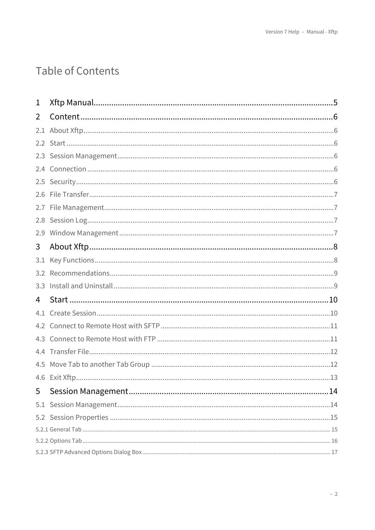# Table of Contents

| 1   |  |
|-----|--|
| 2   |  |
|     |  |
|     |  |
|     |  |
|     |  |
|     |  |
| 2.6 |  |
|     |  |
| 2.8 |  |
| 2.9 |  |
| 3   |  |
| 3.1 |  |
|     |  |
|     |  |
| 4   |  |
| 4.1 |  |
|     |  |
|     |  |
|     |  |
|     |  |
|     |  |
| 5   |  |
| 5.1 |  |
|     |  |
|     |  |
|     |  |
|     |  |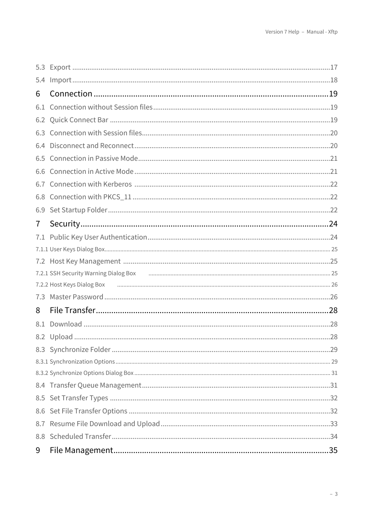| 5.4 |  |
|-----|--|
| 6   |  |
| 6.1 |  |
|     |  |
| 6.3 |  |
| 6.4 |  |
| 6.5 |  |
| 6.6 |  |
|     |  |
| 6.8 |  |
| 6.9 |  |
| 7   |  |
| 7.1 |  |
|     |  |
|     |  |
|     |  |
|     |  |
| 7.3 |  |
| 8   |  |
| 8.1 |  |
|     |  |
|     |  |
|     |  |
|     |  |
|     |  |
|     |  |
|     |  |
|     |  |
|     |  |
| 9   |  |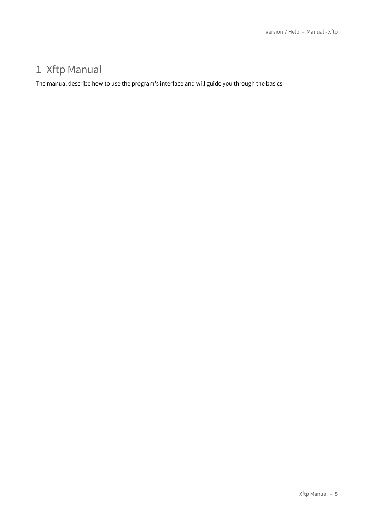## <span id="page-4-0"></span>1 Xftp Manual

The manual describe how to use the program's interface and will guide you through the basics.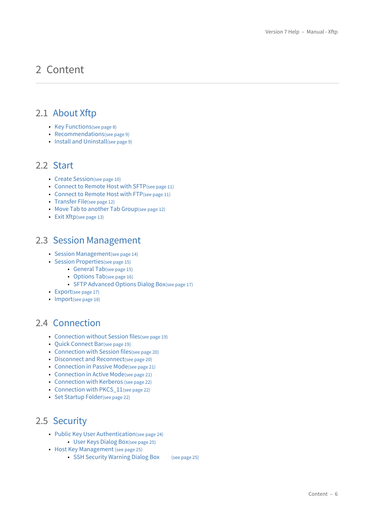## <span id="page-5-0"></span>2 Content

## <span id="page-5-1"></span>2.1 [About Xftp](#page-7-0)

- [Key Functions](#page-7-1)[\(see page 8\)](#page-7-1)
- [Recommendations](#page-8-0)[\(see page 9\)](#page-8-0)
- [Install and Uninstall](#page-8-1)[\(see page 9\)](#page-8-1)

## <span id="page-5-2"></span>2.2 [Start](#page-9-0)

- [Create Session](#page-9-1)[\(see page 10\)](#page-9-1)
- [Connect to Remote Host with SFTP](#page-10-0)[\(see page 11\)](#page-10-0)
- [Connect to Remote Host with FTP](#page-10-1)[\(see page 11\)](#page-10-1)
- [Transfer File](#page-11-0)[\(see page 12\)](#page-11-0)
- [Move Tab to another Tab Group](#page-11-1)[\(see page 12\)](#page-11-1)
- [Exit Xftp](#page-12-0)[\(see page 13\)](#page-12-0)

## <span id="page-5-3"></span>2.3 [Session Management](#page-13-0)

- [Session Management](#page-13-1)[\(see page 14\)](#page-13-1)
- [Session Properties](#page-14-0)[\(see page 15\)](#page-14-0)
	- [General Tab](#page-14-1)[\(see page 15\)](#page-14-1)
	- [Options Tab](#page-15-0)[\(see page 16\)](#page-15-0)
	- [SFTP Advanced Options Dialog Box](#page-16-0)[\(see page 17\)](#page-16-0)
- [Export](#page-16-1)[\(see page 17\)](#page-16-1)
- [Import](#page-17-0)[\(see page 18\)](#page-17-0)

## <span id="page-5-4"></span>2.4 [Connection](#page-18-0)

- [Connection without Session files](#page-18-1)[\(see page 19\)](#page-18-1)
- [Quick Connect Bar](#page-18-2)[\(see page 19\)](#page-18-2)
- [Connection with Session files](#page-19-0)[\(see page 20\)](#page-19-0)
- [Disconnect and Reconnect](#page-19-1)[\(see page 20\)](#page-19-1)
- [Connection in Passive Mode](#page-20-0)[\(see page 21\)](#page-20-0)
- [Connection in Active Mode](#page-20-1)[\(see page 21\)](#page-20-1)
- [Connection with Kerberos](#page-21-0) [\(see page 22\)](#page-21-0)
- [Connection with PKCS\\_11](#page-21-1)[\(see page 22\)](#page-21-1)
- [Set Startup Folder](#page-21-2)[\(see page 22\)](#page-21-2)

## <span id="page-5-5"></span>2.5 [Security](#page-23-0)

- [Public Key User Authentication](#page-23-1)[\(see page 24\)](#page-23-1) • [User Keys Dialog Box](#page-24-0)[\(see page 25\)](#page-24-0)
- [Host Key Management](#page-24-1) [\(see page 25\)](#page-24-1)
	- [SSH Security Warning Dialog Box](#page-24-2) [\(see page 25\)](#page-24-2)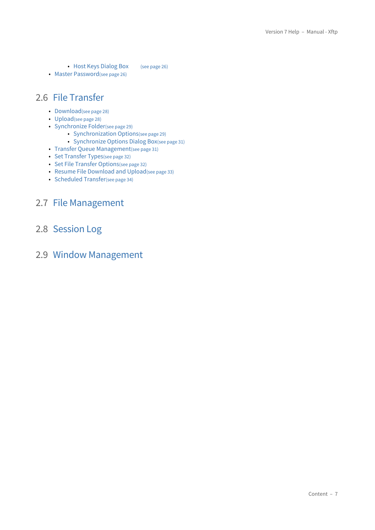• [Host Keys Dialog Box](#page-25-0) [\(see page 26\)](#page-25-0)

• [Master Password](#page-25-1)[\(see page 26\)](#page-25-1)

## <span id="page-6-0"></span>2.6 [File Transfer](#page-27-0)

- [Download](#page-27-1)[\(see page 28\)](#page-27-1)
- [Upload](#page-27-2)[\(see page 28\)](#page-27-2)
- [Synchronize Folder](#page-28-0)[\(see page 29\)](#page-28-0)
	- [Synchronization Options](#page-28-1)[\(see page 29\)](#page-28-1)
	- [Synchronize Options Dialog Box](#page-30-0)[\(see page 31\)](#page-30-0)
- [Transfer Queue Management](#page-30-1)[\(see page 31\)](#page-30-1)
- [Set Transfer Types](#page-31-0)[\(see page 32\)](#page-31-0)
- [Set File Transfer Options](#page-31-1)[\(see page 32\)](#page-31-1)
- [Resume File Download and Upload](#page-32-0)[\(see page 33\)](#page-32-0)
- [Scheduled Transfer](#page-33-0)[\(see page 34\)](#page-33-0)

## <span id="page-6-1"></span>2.7 [File Management](#page-34-0)

<span id="page-6-2"></span>2.8 [Session Log](#page-36-0)

## <span id="page-6-3"></span>2.9 [Window Management](#page-37-0)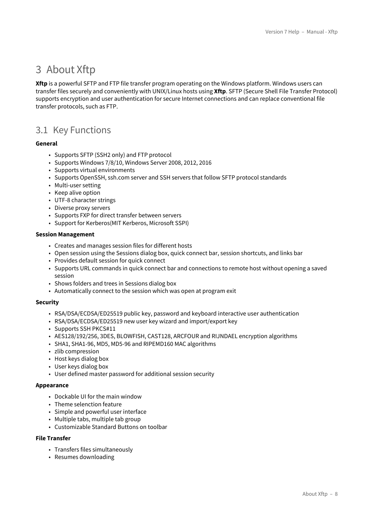## <span id="page-7-0"></span>3 About Xftp

**Xftp** is a powerful SFTP and FTP file transfer program operating on the Windows platform. Windows users can transfer files securely and conveniently with UNIX/Linux hosts using **Xftp**. SFTP (Secure Shell File Transfer Protocol) supports encryption and user authentication for secure Internet connections and can replace conventional file transfer protocols, such as FTP.

## <span id="page-7-1"></span>3.1 Key Functions

#### **General**

- Supports SFTP (SSH2 only) and FTP protocol
- Supports Windows 7/8/10, Windows Server 2008, 2012, 2016
- Supports virtual environments
- Supports OpenSSH, ssh.com server and SSH servers that follow SFTP protocol standards
- Multi-user setting
- Keep alive option
- UTF-8 character strings
- Diverse proxy servers
- Supports FXP for direct transfer between servers
- Support for Kerberos(MIT Kerberos, Microsoft SSPI)

#### **Session Management**

- Creates and manages session files for different hosts
- Open session using the Sessions dialog box, quick connect bar, session shortcuts, and links bar
- Provides default session for quick connect
- Supports URL commands in quick connect bar and connections to remote host without opening a saved session
- Shows folders and trees in Sessions dialog box
- Automatically connect to the session which was open at program exit

#### **Security**

- RSA/DSA/ECDSA/ED25519 public key, password and keyboard interactive user authentication
- RSA/DSA/ECDSA/ED25519 new user key wizard and import/export key
- Supports SSH PKCS#11
- AES128/192/256, 3DES, BLOWFISH, CAST128, ARCFOUR and RIJNDAEL encryption algorithms
- SHA1, SHA1-96, MD5, MD5-96 and RIPEMD160 MAC algorithms
- zlib compression
- Host keys dialog box
- User keys dialog box
- User defined master password for additional session security

#### **Appearance**

- Dockable UI for the main window
- Theme selenction feature
- Simple and powerful user interface
- Multiple tabs, multiple tab group
- Customizable Standard Buttons on toolbar

#### **File Transfer**

- Transfers files simultaneously
- Resumes downloading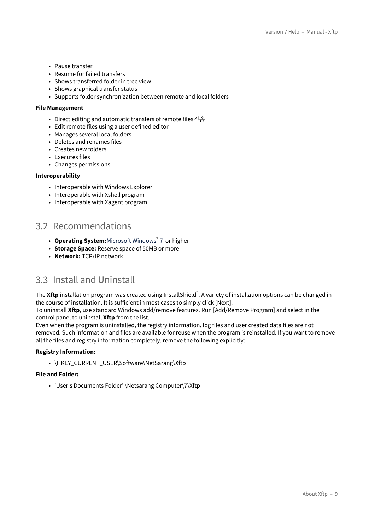- Pause transfer
- Resume for failed transfers
- Shows transferred folder in tree view
- Shows graphical transfer status
- Supports folder synchronization between remote and local folders

#### **File Management**

- Direct editing and automatic transfers of remote files전송
- Edit remote files using a user defined editor
- Manages several local folders
- Deletes and renames files
- Creates new folders
- Executes files
- Changes permissions

#### **Interoperability**

- Interoperable with Windows Explorer
- Interoperable with Xshell program
- Interoperable with Xagent program

## <span id="page-8-0"></span>3.2 Recommendations

- **Operating System:**Microsoft Windows® 7 or higher
- **Storage Space:** Reserve space of 50MB or more
- **Network:** TCP/IP network

### <span id="page-8-1"></span>3.3 Install and Uninstall

The **Xftp** installation program was created using InstallShield<sup>®</sup>. A variety of installation options can be changed in the course of installation. It is sufficient in most cases to simply click [Next].

To uninstall **Xftp**, use standard Windows add/remove features. Run [Add/Remove Program] and select in the control panel to uninstall **Xftp** from the list.

Even when the program is uninstalled, the registry information, log files and user created data files are not removed. Such information and files are available for reuse when the program is reinstalled. If you want to remove all the files and registry information completely, remove the following explicitly:

#### **Registry Information:**

• \HKEY\_CURRENT\_USER\Software\NetSarang\Xftp

#### **File and Folder:**

• 'User's Documents Folder' \Netsarang Computer\7\Xftp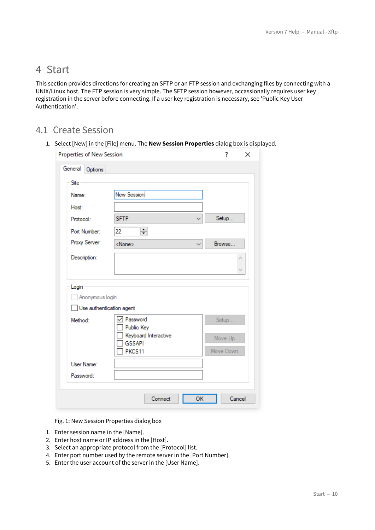## <span id="page-9-0"></span>4 Start

This section provides directions for creating an SFTP or an FTP session and exchanging files by connecting with a UNIX/Linux host. The FTP session is very simple. The SFTP session however, occassionally requires user key registration in the server before connecting. If a user key registration is necessary, see 'Public Key User Authentication'.

## <span id="page-9-1"></span>4.1 Create Session

1. Select [New] in the [File] menu. The **New Session Properties** dialog box is displayed.

| General<br>Options                                   |                         |              |           |
|------------------------------------------------------|-------------------------|--------------|-----------|
| Site                                                 |                         |              |           |
| Name:                                                | New Session             |              |           |
| Host:                                                |                         |              |           |
| Protocol:                                            | <b>SFTP</b>             | $\checkmark$ | Setup     |
| Port Number:                                         | ≑∥<br>22                |              |           |
| Proxy Server:                                        | <none></none>           | $\checkmark$ | Browse    |
| Description:                                         |                         |              | ۸         |
|                                                      |                         |              | v         |
|                                                      |                         |              |           |
| Login<br>Anonymous login<br>Use authentication agent |                         |              |           |
| Method:                                              | Password                |              | Setup     |
|                                                      | Public Key              |              |           |
|                                                      | Keyboard Interactive    |              | Move Up   |
|                                                      | <b>GSSAPI</b><br>PKCS11 |              | Move Down |
|                                                      |                         |              |           |
| User Name:<br>Password:                              |                         |              |           |

Fig. 1: New Session Properties dialog box

- 1. Enter session name in the [Name].
- 2. Enter host name or IP address in the [Host].
- 3. Select an appropriate protocol from the [Protocol] list.
- 4. Enter port number used by the remote server in the [Port Number].
- 5. Enter the user account of the server in the [User Name].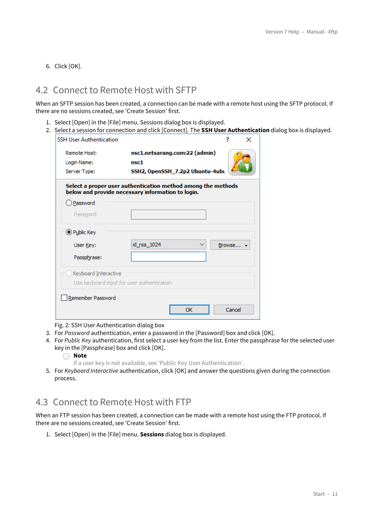6. Click [OK].

## <span id="page-10-0"></span>4.2 Connect to Remote Host with SFTP

When an SFTP session has been created, a connection can be made with a remote host using the SFTP protocol. If there are no sessions created, see 'Create Session' first.

- 1. Select [Open] in the [File] menu. Sessions dialog box is displayed.
- 2. Select a session for connection and click [Connect]. The **SSH User Authentication** dialog box is displayed.

| <b>SSH User Authentication</b>              |                                                                                                                   | 7        | × |  |
|---------------------------------------------|-------------------------------------------------------------------------------------------------------------------|----------|---|--|
| Remote Host:                                | nsc1.netsarang.com:22 (admin)                                                                                     |          |   |  |
| Login Name:                                 | nsc1                                                                                                              |          |   |  |
| Server Type:                                | SSH2, OpenSSH_7.2p2 Ubuntu-4ubu                                                                                   |          |   |  |
|                                             | Select a proper user authentication method among the methods<br>below and provide necessary information to login. |          |   |  |
| ) Password                                  |                                                                                                                   |          |   |  |
| Password:                                   |                                                                                                                   |          |   |  |
| O Public Key                                |                                                                                                                   |          |   |  |
| User Key:                                   | id_rsa_1024                                                                                                       | Browse - |   |  |
| Passphrase:                                 |                                                                                                                   |          |   |  |
| Keyboard Interactive                        |                                                                                                                   |          |   |  |
| Use keyboard input for user authentication. |                                                                                                                   |          |   |  |
| Remember Password                           |                                                                                                                   |          |   |  |
|                                             | ОК                                                                                                                | Cancel   |   |  |

Fig. 2: SSH User Authentication dialog box

- 3. For *Password* authentication, enter a password in the [Password] box and click [OK].
- 4. For *Public Key* authentication, first select a user key from the list. Enter the passphrase for the selected user key in the [Passphrase] box and click [OK].

#### **Note**

- If a user key is not available, see 'Public Key User Authentication'.
- 5. For *Keyboard Interactive* authentication, click [OK] and answer the questions given during the connection process.

## <span id="page-10-1"></span>4.3 Connect to Remote Host with FTP

When an FTP session has been created, a connection can be made with a remote host using the FTP protocol. If there are no sessions created, see 'Create Session' first.

1. Select [Open] in the [File] menu. **Sessions** dialog box is displayed.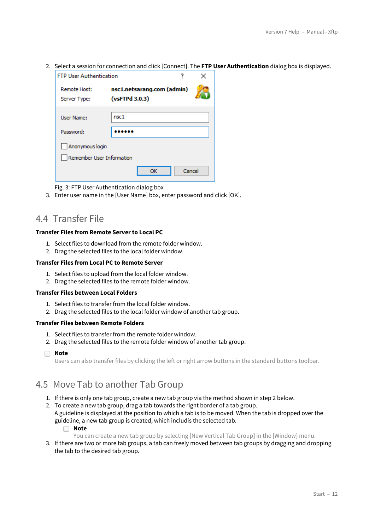2. Select a session for connection and click [Connect]. The **FTP User Authentication** dialog box is displayed.

| <b>FTP User Authentication</b>               |                                              |        |  |
|----------------------------------------------|----------------------------------------------|--------|--|
| Remote Host:<br>Server Type:                 | nsc1.netsarang.com (admin)<br>(vsFTPd 3.0.3) |        |  |
| User Name:<br>Password:                      | nsc <sub>1</sub>                             |        |  |
| Anonymous login<br>Remember User Information |                                              |        |  |
|                                              | ОΚ                                           | Cancel |  |

Fig. 3: FTP User Authentication dialog box

3. Enter user name in the [User Name] box, enter password and click [OK].

## <span id="page-11-0"></span>4.4 Transfer File

#### **Transfer Files from Remote Server to Local PC**

- 1. Select files to download from the remote folder window.
- 2. Drag the selected files to the local folder window.

#### **Transfer Files from Local PC to Remote Server**

- 1. Select files to upload from the local folder window.
- 2. Drag the selected files to the remote folder window.

#### **Transfer Files between Local Folders**

- 1. Select files to transfer from the local folder window.
- 2. Drag the selected files to the local folder window of another tab group.

#### **Transfer Files between Remote Folders**

- 1. Select files to transfer from the remote folder window.
- 2. Drag the selected files to the remote folder window of another tab group.
- ∩ **Note**

Users can also transfer files by clicking the left or right arrow buttons in the standard buttons toolbar.

## <span id="page-11-1"></span>4.5 Move Tab to another Tab Group

- 1. If there is only one tab group, create a new tab group via the method shown in step 2 below.
- 2. To create a new tab group, drag a tab towards the right border of a tab group. A guideline is displayed at the position to which a tab is to be moved. When the tab is dropped over the guideline, a new tab group is created, which includis the selected tab. **Note**

You can create a new tab group by selecting [New Vertical Tab Group] in the [Window] menu.

3. If there are two or more tab groups, a tab can freely moved between tab groups by dragging and dropping the tab to the desired tab group.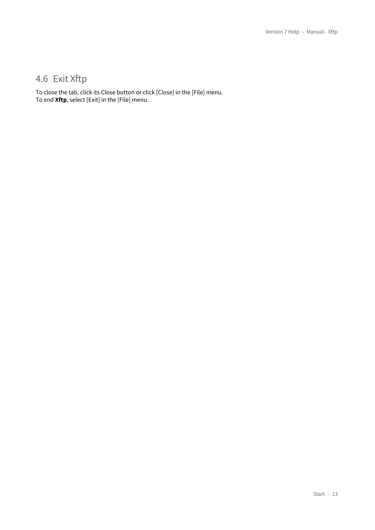## <span id="page-12-0"></span>4.6 Exit Xftp

To close the tab, click its Close button or click [Close] in the [File] menu. To end **Xftp**, select [Exit] in the [File] menu.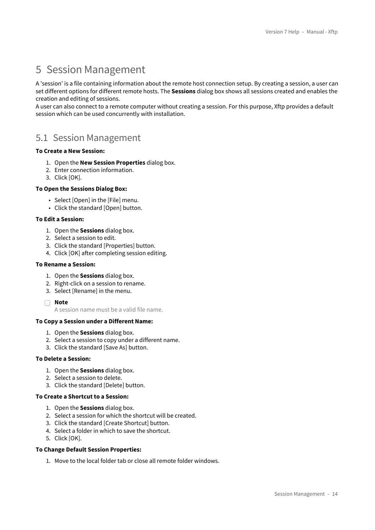## <span id="page-13-0"></span>5 Session Management

A 'session' is a file containing information about the remote host connection setup. By creating a session, a user can set different options for different remote hosts. The **Sessions** dialog box shows all sessions created and enables the creation and editing of sessions.

A user can also connect to a remote computer without creating a session. For this purpose, Xftp provides a default session which can be used concurrently with installation.

## <span id="page-13-1"></span>5.1 Session Management

#### **To Create a New Session:**

- 1. Open the **New Session Properties** dialog box.
- 2. Enter connection information.
- 3. Click [OK].

#### **To Open the Sessions Dialog Box:**

- Select [Open] in the [File] menu.
- Click the standard [Open] button.

#### **To Edit a Session:**

- 1. Open the **Sessions** dialog box.
- 2. Select a session to edit.
- 3. Click the standard [Properties] button.
- 4. Click [OK] after completing session editing.

#### **To Rename a Session:**

- 1. Open the **Sessions** dialog box.
- 2. Right-click on a session to rename.
- 3. Select [Rename] in the menu.
- **Note**

A session name must be a valid file name.

#### **To Copy a Session under a Different Name:**

- 1. Open the **Sessions** dialog box.
- 2. Select a session to copy under a different name.
- 3. Click the standard [Save As] button.

#### **To Delete a Session:**

- 1. Open the **Sessions** dialog box.
- 2. Select a session to delete.
- 3. Click the standard [Delete] button.

#### **To Create a Shortcut to a Session:**

- 1. Open the **Sessions** dialog box.
- 2. Select a session for which the shortcut will be created.
- 3. Click the standard [Create Shortcut] button.
- 4. Select a folder in which to save the shortcut.
- 5. Click [OK].

#### **To Change Default Session Properties:**

1. Move to the local folder tab or close all remote folder windows.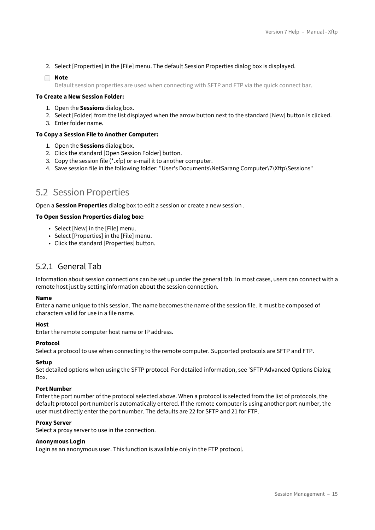2. Select [Properties] in the [File] menu. The default Session Properties dialog box is displayed.

#### **Note**

Default session properties are used when connecting with SFTP and FTP via the quick connect bar.

#### **To Create a New Session Folder:**

- 1. Open the **Sessions** dialog box.
- 2. Select [Folder] from the list displayed when the arrow button next to the standard [New] button is clicked.
- 3. Enter folder name.

#### **To Copy a Session File to Another Computer:**

- 1. Open the **Sessions** dialog box.
- 2. Click the standard [Open Session Folder] button.
- 3. Copy the session file (\*.xfp) or e-mail it to another computer.
- 4. Save session file in the following folder: "User's Documents\NetSarang Computer\7\Xftp\Sessions"

### <span id="page-14-0"></span>5.2 Session Properties

Open a **Session Properties** dialog box to edit a session or create a new session .

#### **To Open Session Properties dialog box:**

- Select [New] in the [File] menu.
- Select [Properties] in the [File] menu.
- Click the standard [Properties] button.

### <span id="page-14-1"></span>5.2.1 General Tab

Information about session connections can be set up under the general tab. In most cases, users can connect with a remote host just by setting information about the session connection.

#### **Name**

Enter a name unique to this session. The name becomes the name of the session file. It must be composed of characters valid for use in a file name.

#### **Host**

Enter the remote computer host name or IP address.

#### **Protocol**

Select a protocol to use when connecting to the remote computer. Supported protocols are SFTP and FTP.

#### **Setup**

Set detailed options when using the SFTP protocol. For detailed information, see 'SFTP Advanced Options Dialog **Box.** 

#### **Port Number**

Enter the port number of the protocol selected above. When a protocol is selected from the list of protocols, the default protocol port number is automatically entered. If the remote computer is using another port number, the user must directly enter the port number. The defaults are 22 for SFTP and 21 for FTP.

#### **Proxy Server**

Select a proxy server to use in the connection.

#### **Anonymous Login**

Login as an anonymous user. This function is available only in the FTP protocol.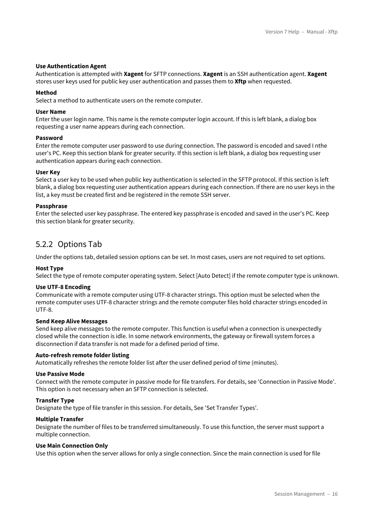#### **Use Authentication Agent**

Authentication is attempted with **Xagent** for SFTP connections. **Xagent** is an SSH authentication agent. **Xagent** stores user keys used for public key user authentication and passes them to **Xftp** when requested.

#### **Method**

Select a method to authenticate users on the remote computer.

#### **User Name**

Enter the user login name. This name is the remote computer login account. If this is left blank, a dialog box requesting a user name appears during each connection.

#### **Password**

Enter the remote computer user password to use during connection. The password is encoded and saved I nthe user's PC. Keep this section blank for greater security. If this section is left blank, a dialog box requesting user authentication appears during each connection.

#### **User Key**

Select a user key to be used when public key authentication is selected in the SFTP protocol. If this section is left blank, a dialog box requesting user authentication appears during each connection. If there are no user keys in the list, a key must be created first and be registered in the remote SSH server.

#### **Passphrase**

Enter the selected user key passphrase. The entered key passphrase is encoded and saved in the user's PC. Keep this section blank for greater security.

### <span id="page-15-0"></span>5.2.2 Options Tab

Under the options tab, detailed session options can be set. In most cases, users are not required to set options.

#### **Host Type**

Select the type of remote computer operating system. Select [Auto Detect] if the remote computer type is unknown.

#### **Use UTF-8 Encoding**

Communicate with a remote computer using UTF-8 character strings. This option must be selected when the remote computer uses UTF-8 character strings and the remote computer files hold character strings encoded in UTF-8.

#### **Send Keep Alive Messages**

Send keep alive messages to the remote computer. This function is useful when a connection is unexpectedly closed while the connection is idle. In some network environments, the gateway or firewall system forces a disconnection if data transfer is not made for a defined period of time.

#### **Auto-refresh remote folder listing**

Automatically refreshes the remote folder list after the user defined period of time (minutes).

#### **Use Passive Mode**

Connect with the remote computer in passive mode for file transfers. For details, see 'Connection in Passive Mode'. This option is not necessary when an SFTP connection is selected.

#### **Transfer Type**

Designate the type of file transfer in this session. For details, See 'Set Transfer Types'.

#### **Multiple Transfer**

Designate the number of files to be transferred simultaneously. To use this function, the server must support a multiple connection.

#### **Use Main Connection Only**

Use this option when the server allows for only a single connection. Since the main connection is used for file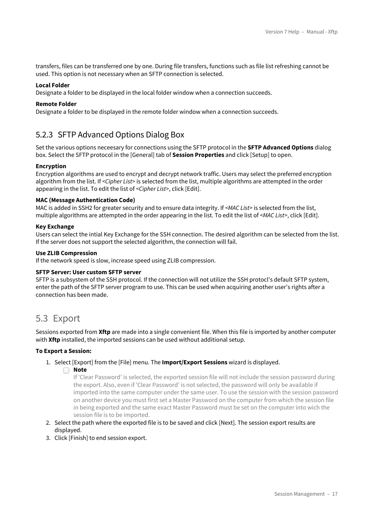transfers, files can be transferred one by one. During file transfers, functions such as file list refreshing cannot be used. This option is not necessary when an SFTP connection is selected.

#### **Local Folder**

Designate a folder to be displayed in the local folder window when a connection succeeds.

#### **Remote Folder**

Designate a folder to be displayed in the remote folder window when a connection succeeds.

## <span id="page-16-0"></span>5.2.3 SFTP Advanced Options Dialog Box

Set the various options neceesary for connections using the SFTP protocol in the **SFTP Advanced Options** dialog box. Select the SFTP protocol in the [General] tab of **Session Properties** and click [Setup] to open.

#### **Encryption**

Encryption algorithms are used to encrypt and decrypt network traffic. Users may select the preferred encryption algorithm from the list. If *<Cipher List>* is selected from the list, multiple algorithms are attempted in the order appearing in the list. To edit the list of *<Cipher List>*, click [Edit].

#### **MAC (Message Authentication Code)**

MAC is added in SSH2 for greater security and to ensure data integrity. If *<MAC List>* is selected from the list, multiple algorithms are attempted in the order appearing in the list. To edit the list of *<MAC List>*, click [Edit].

#### **Key Exchange**

Users can select the intial Key Exchange for the SSH connection. The desired algorithm can be selected from the list. If the server does not support the selected algorithm, the connection will fail.

#### **Use ZLIB Compression**

If the network speed is slow, increase speed using ZLIB compression.

#### **SFTP Server: User custom SFTP server**

SFTP is a subsystem of the SSH protocol. If the connection will not utilize the SSH protocl's default SFTP system, enter the path of the SFTP server program to use. This can be used when acquiring another user's rights after a connection has been made.

### <span id="page-16-1"></span>5.3 Export

Sessions exported from **Xftp** are made into a single convenient file. When this file is imported by another computer with **Xftp** installed, the imported sessions can be used without additional setup.

#### **To Export a Session:**

- 1. Select [Export] from the [File] menu. The **Import/Export Sessions** wizard is displayed.
	- **Note**

If 'Clear Password' is selected, the exported session file will not include the session password during the export. Also, even if 'Clear Password' is not selected, the password will only be available if imported into the same computer under the same user. To use the session with the session password on another device you must first set a Master Password on the computer from which the session file in being exported and the same exact Master Password must be set on the computer into wich the session file is to be imported.

- 2. Select the path where the exported file is to be saved and click [Next]. The session export results are displayed.
- 3. Click [Finish] to end session export.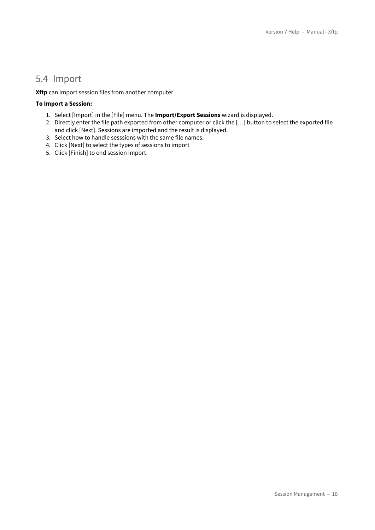## <span id="page-17-0"></span>5.4 Import

**Xftp** can import session files from another computer.

#### **To Import a Session:**

- 1. Select [Import] in the [File] menu. The **Import/Export Sessions** wizard is displayed.
- 2. Directly enter the file path exported from other computer or click the […] button to select the exported file and click [Next]. Sessions are imported and the result is displayed.
- 3. Select how to handle sesssions with the same file names.
- 4. Click [Next] to select the types of sessions to import
- 5. Click [Finish] to end session import.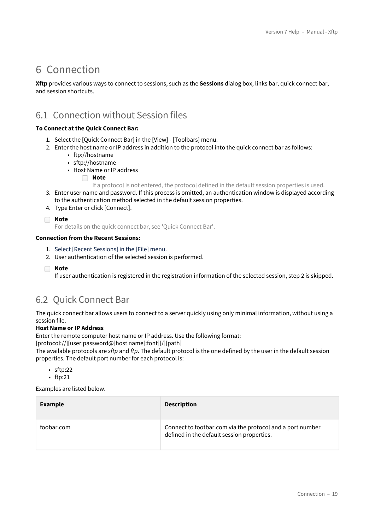## <span id="page-18-0"></span>6 Connection

**Xftp** provides various ways to connect to sessions, such as the **Sessions** dialog box, links bar, quick connect bar, and session shortcuts.

## <span id="page-18-1"></span>6.1 Connection without Session files

#### **To Connect at the Quick Connect Bar:**

- 1. Select the [Quick Connect Bar] in the [View] [Toolbars] menu.
- 2. Enter the host name or IP address in addition to the protocol into the quick connect bar as follows:
	- ftp://hostname
	- sftp://hostname
	- Host Name or IP address

**Note**

If a protocol is not entered, the protocol defined in the default session properties is used.

- 3. Enter user name and password. If this process is omitted, an authentication window is displayed according to the authentication method selected in the default session properties.
- 4. Type Enter or click [Connect].

**Note**

For details on the quick connect bar, see 'Quick Connect Bar'.

#### **Connection from the Recent Sessions:**

- 1. Select [Recent Sessions] in the [File] menu.
- 2. User authentication of the selected session is performed.

**Note** ∩

If user authentication is registered in the registration information of the selected session, step 2 is skipped.

## <span id="page-18-2"></span>6.2 Quick Connect Bar

The quick connect bar allows users to connect to a server quickly using only minimal information, without using a session file.

#### **Host Name or IP Address**

Enter the remote computer host name or IP address. Use the following format:

[protocol://][user:password@]host name[:font][/][path]

The available protocols are *sftp* and *ftp*. The default protocol is the one defined by the user in the default session properties. The default port number for each protocol is:

- sftp:22
- ftp:21

Examples are listed below.

| <b>Example</b> | <b>Description</b>                                                                                      |
|----------------|---------------------------------------------------------------------------------------------------------|
| toobar.com     | Connect to footbar.com via the protocol and a port number<br>defined in the default session properties. |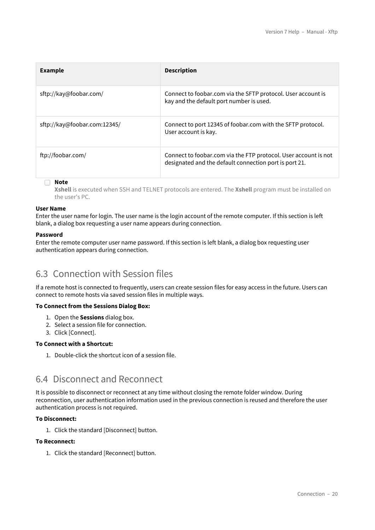| <b>Example</b>               | <b>Description</b>                                                                                                        |
|------------------------------|---------------------------------------------------------------------------------------------------------------------------|
| sftp://kay@foobar.com/       | Connect to foobar.com via the SFTP protocol. User account is<br>kay and the default port number is used.                  |
| sftp://kay@foobar.com:12345/ | Connect to port 12345 of foobar.com with the SFTP protocol.<br>User account is kay.                                       |
| ftp://foobar.com/            | Connect to foobar.com via the FTP protocol. User account is not<br>designated and the default connection port is port 21. |

#### **Note**

**Xshell** is executed when SSH and TELNET protocols are entered. The **Xshell** program must be installed on the user's PC.

#### **User Name**

Enter the user name for login. The user name is the login account of the remote computer. If this section is left blank, a dialog box requesting a user name appears during connection.

#### **Password**

Enter the remote computer user name password. If this section is left blank, a dialog box requesting user authentication appears during connection.

## <span id="page-19-0"></span>6.3 Connection with Session files

If a remote host is connected to frequently, users can create session files for easy access in the future. Users can connect to remote hosts via saved session files in multiple ways.

#### **To Connect from the Sessions Dialog Box:**

- 1. Open the **Sessions** dialog box.
- 2. Select a session file for connection.
- 3. Click [Connect].

#### **To Connect with a Shortcut:**

1. Double-click the shortcut icon of a session file.

## <span id="page-19-1"></span>6.4 Disconnect and Reconnect

It is possible to disconnect or reconnect at any time without closing the remote folder window. During reconnection, user authentication information used in the previous connection is reused and therefore the user authentication process is not required.

#### **To Disconnect:**

1. Click the standard [Disconnect] button.

#### **To Reconnect:**

1. Click the standard [Reconnect] button.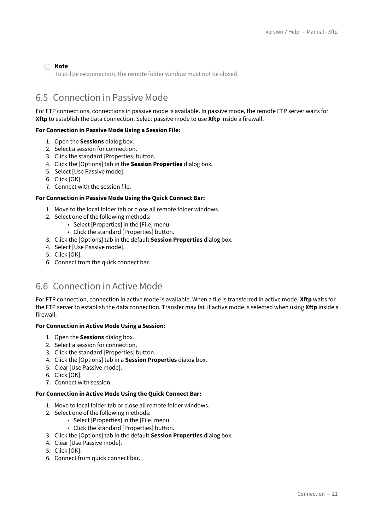#### **Note**

To utilize reconnection, the remote folder window must not be closed.

## <span id="page-20-0"></span>6.5 Connection in Passive Mode

For FTP connections, connections in passive mode is available. In passive mode, the remote FTP server waits for **Xftp** to establish the data connection. Select passive mode to use **Xftp** inside a firewall.

#### **For Connection in Passive Mode Using a Session File:**

- 1. Open the **Sessions** dialog box.
- 2. Select a session for connection.
- 3. Click the standard [Properties] button.
- 4. Click the [Options] tab in the **Session Properties** dialog box.
- 5. Select [Use Passive mode].
- 6. Click [OK].
- 7. Connect with the session file.

#### **For Connection in Passive Mode Using the Quick Connect Bar:**

- 1. Move to the local folder tab or close all remote folder windows.
- 2. Select one of the following methods:
	- Select [Properties] in the [File] menu.
	- Click the standard [Properties] button.
- 3. Click the [Options] tab in the default **Session Properties** dialog box.
- 4. Select [Use Passive mode].
- 5. Click [OK].
- 6. Connect from the quick connect bar.

## <span id="page-20-1"></span>6.6 Connection in Active Mode

For FTP connection, connection in active mode is available. When a file is transferred in active mode, **Xftp** waits for the FTP server to establish the data connection. Transfer may fail if active mode is selected when using **Xftp** inside a firewall.

#### **For Connection in Active Mode Using a Session:**

- 1. Open the **Sessions** dialog box.
- 2. Select a session for connection.
- 3. Click the standard [Properties] button.
- 4. Click the [Options] tab in a **Session Properties** dialog box.
- 5. Clear [Use Passive mode].
- 6. Click [OK].
- 7. Connect with session.

#### **For Connection in Active Mode Using the Quick Connect Bar:**

- 1. Move to local folder tab or close all remote folder windows.
- 2. Select one of the following methods:
	- Select [Properties] in the [File] menu.
	- Click the standard [Properties] button.
- 3. Click the [Options] tab in the default **Session Properties** dialog box.
- 4. Clear [Use Passive mode].
- 5. Click [OK].
- 6. Connect from quick connect bar.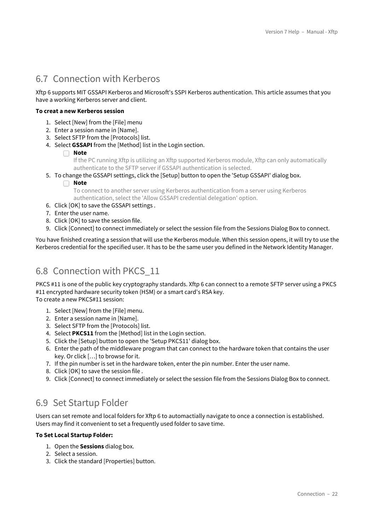## <span id="page-21-0"></span>6.7 Connection with Kerberos

Xftp 6 supports MIT GSSAPI Kerberos and Microsoft's SSPI Kerberos authentication. This article assumes that you have a working Kerberos server and client.

#### **To creat a new Kerberos session**

- 1. Select [New] from the [File] menu
- 2. Enter a session name in [Name].
- 3. Select SFTP from the [Protocols] list.
- 4. Select **GSSAPI** from the [Method] list in the Login section.

#### **Note** n.

If the PC running Xftp is utilizing an Xftp supported Kerberos module, Xftp can only automatically authenticate to the SFTP server if GSSAPI authentication is selected.

- 5. To change the GSSAPI settings, click the [Setup] button to open the 'Setup GSSAPI' dialog box.
	- **Note**

To connect to another server using Kerberos authentication from a server using Kerberos authentication, select the 'Allow GSSAPI credential delegation' option.

- 6. Click [OK] to save the GSSAPI settings .
- 7. Enter the user name.
- 8. Click [OK] to save the session file.
- 9. Click [Connect] to connect immediately or select the session file from the Sessions Dialog Box to connect.

You have finished creating a session that will use the Kerberos module. When this session opens, it will try to use the Kerberos credential for the specified user. It has to be the same user you defined in the Network Identity Manager.

## <span id="page-21-1"></span>6.8 Connection with PKCS\_11

PKCS #11 is one of the public key cryptography standards. Xftp 6 can connect to a remote SFTP server using a PKCS #11 encrypted hardware security token (HSM) or a smart card's RSA key. To create a new PKCS#11 session:

- 1. Select [New] from the [File] menu.
- 2. Enter a session name in [Name].
- 3. Select SFTP from the [Protocols] list.
- 4. Select **PKCS11** from the [Method] list in the Login section.
- 5. Click the [Setup] button to open the 'Setup PKCS11' dialog box.
- 6. Enter the path of the middleware program that can connect to the hardware token that contains the user key. Or click […] to browse for it.
- 7. If the pin number is set in the hardware token, enter the pin number. Enter the user name.
- 8. Click [OK] to save the session file .
- 9. Click [Connect] to connect immediately or select the session file from the Sessions Dialog Box to connect.

## <span id="page-21-2"></span>6.9 Set Startup Folder

Users can set remote and local folders for Xftp 6 to automactially navigate to once a connection is established. Users may find it convenient to set a frequently used folder to save time.

#### **To Set Local Startup Folder:**

- 1. Open the **Sessions** dialog box.
- 2. Select a session.
- 3. Click the standard [Properties] button.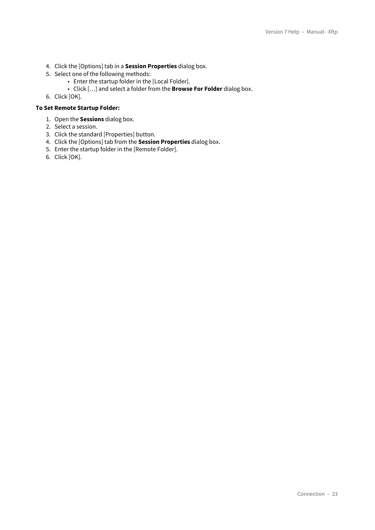- 4. Click the [Options] tab in a **Session Properties** dialog box.
- 5. Select one of the following methods:
	- Enter the startup folder in the [Local Folder].
	- Click […] and select a folder from the **Browse For Folder** dialog box.
- 6. Click [OK].

#### **To Set Remote Startup Folder:**

- 1. Open the **Sessions** dialog box.
- 2. Select a session.
- 3. Click the standard [Properties] button.
- 4. Click the [Options] tab from the **Session Properties** dialog box.
- 5. Enter the startup folder in the [Remote Folder].
- 6. Click [OK].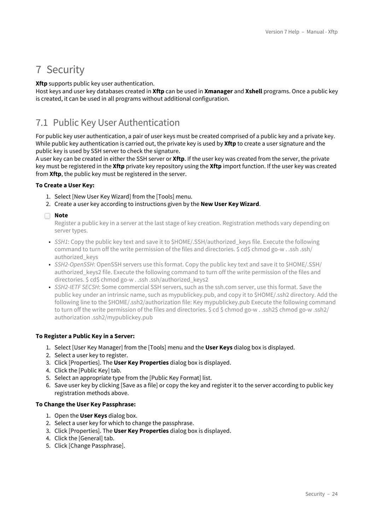## <span id="page-23-0"></span>7 Security

**Xftp** supports public key user authentication.

Host keys and user key databases created in **Xftp** can be used in **Xmanager** and **Xshell** programs. Once a public key is created, it can be used in all programs without additional configuration.

## <span id="page-23-1"></span>7.1 Public Key User Authentication

For public key user authentication, a pair of user keys must be created comprised of a public key and a private key. While public key authentication is carried out, the private key is used by **Xftp** to create a user signature and the public key is used by SSH server to check the signature.

A user key can be created in either the SSH server or **Xftp**. If the user key was created from the server, the private key must be registered in the **Xftp** private key repository using the **Xftp** import function. If the user key was created from **Xftp**, the public key must be registered in the server.

#### **To Create a User Key:**

- 1. Select [New User Key Wizard] from the [Tools] menu.
- 2. Create a user key according to instructions given by the **New User Key Wizard**.

#### **Note**

Register a public key in a server at the last stage of key creation. Registration methods vary depending on server types.

- *SSH1*: Copy the public key text and save it to \$HOME/.SSH/authorized\_keys file. Execute the following command to turn off the write permission of the files and directories. \$ cd\$ chmod go-w . .ssh .ssh/ authorized\_keys
- *SSH2-OpenSSH*: OpenSSH servers use this format. Copy the public key text and save it to \$HOME/.SSH/ authorized keys2 file. Execute the following command to turn off the write permission of the files and directories. \$ cd\$ chmod go-w . .ssh .ssh/authorized\_keys2
- *SSH2-IETF SECSH*: Some commercial SSH servers, such as the ssh.com server, use this format. Save the public key under an intrinsic name, such as mypublickey.pub, and copy it to \$HOME/.ssh2 directory. Add the following line to the \$HOME/.ssh2/authorization file: Key mypublickey.pub Execute the following command to turn off the write permission of the files and directories. \$ cd \$ chmod go-w . .ssh2\$ chmod go-w .ssh2/ authorization .ssh2/mypublickey.pub

#### **To Register a Public Key in a Server:**

- 1. Select [User Key Manager] from the [Tools] menu and the **User Keys** dialog box is displayed.
- 2. Select a user key to register.
- 3. Click [Properties]. The **User Key Properties** dialog box is displayed.
- 4. Click the [Public Key] tab.
- 5. Select an appropriate type from the [Public Key Format] list.
- 6. Save user key by clicking [Save as a file] or copy the key and register it to the server according to public key registration methods above.

#### **To Change the User Key Passphrase:**

- 1. Open the **User Keys** dialog box.
- 2. Select a user key for which to change the passphrase.
- 3. Click [Properties]. The **User Key Properties** dialog box is displayed.
- 4. Click the [General] tab.
- 5. Click [Change Passphrase].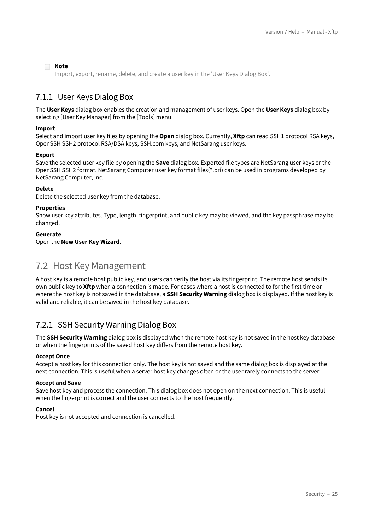#### **Note**

Import, export, rename, delete, and create a user key in the 'User Keys Dialog Box'.

### <span id="page-24-0"></span>7.1.1 User Keys Dialog Box

The **User Keys** dialog box enables the creation and management of user keys. Open the **User Keys** dialog box by selecting [User Key Manager] from the [Tools] menu.

#### **Import**

Select and import user key files by opening the **Open** dialog box. Currently, **Xftp** can read SSH1 protocol RSA keys, OpenSSH SSH2 protocol RSA/DSA keys, SSH.com keys, and NetSarang user keys.

#### **Export**

Save the selected user key file by opening the **Save** dialog box. Exported file types are NetSarang user keys or the OpenSSH SSH2 format. NetSarang Computer user key format files(\*.pri) can be used in programs developed by NetSarang Computer, Inc.

#### **Delete**

Delete the selected user key from the database.

#### **Properties**

Show user key attributes. Type, length, fingerprint, and public key may be viewed, and the key passphrase may be changed.

#### **Generate**

Open the **New User Key Wizard**.

## <span id="page-24-1"></span>7.2 Host Key Management

A host key is a remote host public key, and users can verify the host via its fingerprint. The remote host sends its own public key to **Xftp** when a connection is made. For cases where a host is connected to for the first time or where the host key is not saved in the database, a **SSH Security Warning** dialog box is displayed. If the host key is valid and reliable, it can be saved in the host key database.

### <span id="page-24-2"></span>7.2.1 SSH Security Warning Dialog Box

The **SSH Security Warning** dialog box is displayed when the remote host key is not saved in the host key database or when the fingerprints of the saved host key differs from the remote host key.

#### **Accept Once**

Accept a host key for this connection only. The host key is not saved and the same dialog box is displayed at the next connection. This is useful when a server host key changes often or the user rarely connects to the server.

#### **Accept and Save**

Save host key and process the connection. This dialog box does not open on the next connection. This is useful when the fingerprint is correct and the user connects to the host frequently.

#### **Cancel**

Host key is not accepted and connection is cancelled.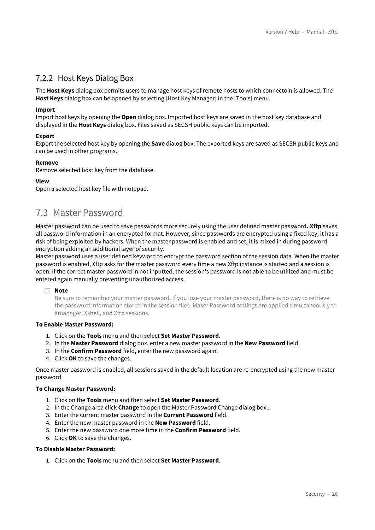## <span id="page-25-0"></span>7.2.2 Host Keys Dialog Box

The **Host Keys** dialog box permits users to manage host keys of remote hosts to which connectoin is allowed. The **Host Keys** dialog box can be opened by selecting [Host Key Manager] in the [Tools] menu.

#### **Import**

Import host keys by opening the **Open** dialog box. Imported host keys are saved in the host key database and displayed in the **Host Keys** dialog box. Files saved as SECSH public keys can be imported.

#### **Export**

Export the selected host key by opening the **Save** dialog box. The exported keys are saved as SECSH public keys and can be used in other programs.

#### **Remove**

Remove selected host key from the database.

#### **View**

Open a selected host key file with notepad.

## <span id="page-25-1"></span>7.3 Master Password

Master password can be used to save passwords more securely using the user defined master password**. Xftp** saves all password information in an encrypted format. However, since passwords are encrypted using a fixed key, it has a risk of being exploited by hackers. When the master password is enabled and set, it is mixed in during password encryption adding an additional layer of security.

Master password uses a user defined keyword to encrypt the password section of the session data. When the master password is enabled, Xftp asks for the master password every time a new Xftp instance is started and a session is open. If the correct master password in not inputted, the session's password is not able to be utilized and must be entered again manually preventing unauthorized access.

#### **Note**

Be sure to remember your master password. If you lose your master password, there is no way to retrieve the password information stored in the session files. Maser Password settings are applied simultaneously to Xmanager, Xshell, and Xftp sessions.

### **To Enable Master Password:**

- 1. Click on the **Tools** menu and then select **Set Master Password**.
- 2. In the **Master Password** dialog box, enter a new master password in the **New Password** field.
- 3. In the **Confirm Password** field, enter the new password again.
- 4. Click **OK** to save the changes.

Once master password is enabled, all sessions saved in the default location are re-encrypted using the new master password.

#### **To Change Master Password:**

- 1. Click on the **Tools** menu and then select **Set Master Password**.
- 2. In the Change area click **Change** to open the Master Password Change dialog box..
- 3. Enter the current master password in the **Current Password** field.
- 4. Enter the new master password in the **New Password** field.
- 5. Enter the new password one more time in the **Confirm Password** field.
- 6. Click **OK** to save the changes.

#### **To Disable Master Password:**

1. Click on the **Tools** menu and then select **Set Master Password**.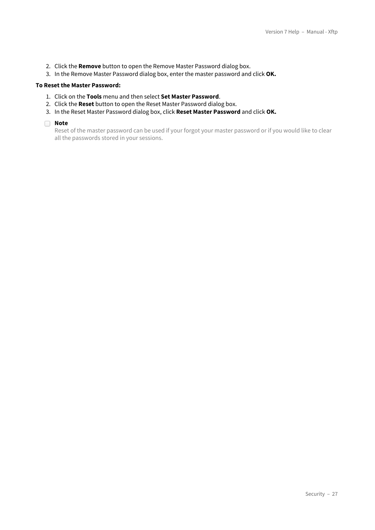- 2. Click the **Remove** button to open the Remove Master Password dialog box.
- 3. In the Remove Master Password dialog box, enter the master password and click **OK.**

#### **To Reset the Master Password:**

- 1. Click on the **Tools** menu and then select **Set Master Password**.
- 2. Click the **Reset** button to open the Reset Master Password dialog box.
- 3. In the Reset Master Password dialog box, click **Reset Master Password** and click **OK.**

#### **Note**

Reset of the master password can be used if your forgot your master password or if you would like to clear all the passwords stored in your sessions.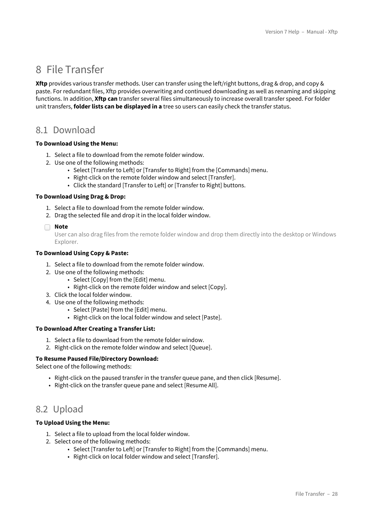## <span id="page-27-0"></span>8 File Transfer

**Xftp** provides various transfer methods. User can transfer using the left/right buttons, drag & drop, and copy & paste. For redundant files, Xftp provides overwriting and continued downloading as well as renaming and skipping functions. In addition, **Xftp can** transfer several files simultaneously to increase overall transfer speed. For folder unit transfers, **folder lists can be displayed in a** tree so users can easily check the transfer status.

## <span id="page-27-1"></span>8.1 Download

#### **To Download Using the Menu:**

- 1. Select a file to download from the remote folder window.
- 2. Use one of the following methods:
	- Select [Transfer to Left] or [Transfer to Right] from the [Commands] menu.
	- Right-click on the remote folder window and select [Transfer].
	- Click the standard [Transfer to Left] or [Transfer to Right] buttons.

#### **To Download Using Drag & Drop:**

- 1. Select a file to download from the remote folder window.
- 2. Drag the selected file and drop it in the local folder window.

#### **Note**

User can also drag files from the remote folder window and drop them directly into the desktop or Windows Explorer.

#### **To Download Using Copy & Paste:**

- 1. Select a file to download from the remote folder window.
- 2. Use one of the following methods:
	- Select [Copy] from the [Edit] menu.
	- Right-click on the remote folder window and select [Copy].
- 3. Click the local folder window.
- 4. Use one of the following methods:
	- Select [Paste] from the [Edit] menu.
	- Right-click on the local folder window and select [Paste].

#### **To Download After Creating a Transfer List:**

- 1. Select a file to download from the remote folder window.
- 2. Right-click on the remote folder window and select [Queue].

#### **To Resume Paused File/Directory Download:**

Select one of the following methods:

- Right-click on the paused transfer in the transfer queue pane, and then click [Resume].
- Right-click on the transfer queue pane and select [Resume All].

## <span id="page-27-2"></span>8.2 Upload

#### **To Upload Using the Menu:**

- 1. Select a file to upload from the local folder window.
- 2. Select one of the following methods:
	- Select [Transfer to Left] or [Transfer to Right] from the [Commands] menu.
	- Right-click on local folder window and select [Transfer].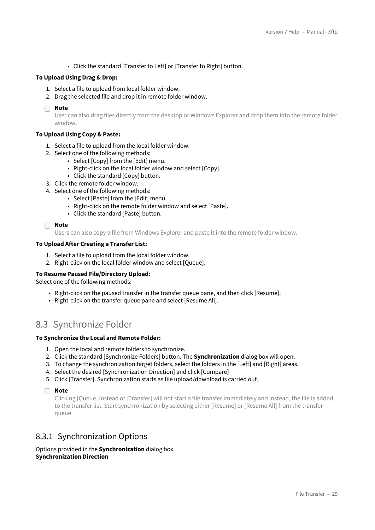• Click the standard [Transfer to Left] or [Transfer to Right] button.

#### **To Upload Using Drag & Drop:**

- 1. Select a file to upload from local folder window.
- 2. Drag the selected file and drop it in remote folder window.
- **Note**

User can also drag files directly from the desktop or Windows Explorer and drop them into the remote folder window.

#### **To Upload Using Copy & Paste:**

- 1. Select a file to upload from the local folder window.
- 2. Select one of the following methods:
	- Select [Copy] from the [Edit] menu.
	- Right-click on the local folder window and select [Copy].
	- Click the standard [Copy] button.
- 3. Click the remote folder window.
- 4. Select one of the following methods:
	- Select [Paste] from the [Edit] menu.
	- Right-click on the remote folder window and select [Paste].
	- Click the standard [Paste] button.

```
Note
```
Users can also copy a file from Windows Explorer and paste it into the remote folder window.

#### **To Upload After Creating a Transfer List:**

- 1. Select a file to upload from the local folder window.
- 2. Right-click on the local folder window and select [Queue].

#### **To Resume Paused File/Directory Upload:**

Select one of the following methods:

- Right-click on the paused transfer in the transfer queue pane, and then click [Resume].
- Right-click on the transfer queue pane and select [Resume All].

## <span id="page-28-0"></span>8.3 Synchronize Folder

#### **To Synchronize the Local and Remote Folder:**

- 1. Open the local and remote folders to synchronize.
- 2. Click the standard [Synchronize Folders] button. The **Synchronization** dialog box will open.
- 3. To change the synchronization target folders, select the folders in the [Left] and [Right] areas.
- 4. Select the desired [Synchronization Direction] and click [Compare]
- 5. Click [Transfer]. Synchronization starts as file upload/download is carried out.

**Note**

Clicking [Queue] instead of [Transfer] will not start a file transfer immediately and instead, the file is added to the transfer list. Start synchronization by selecting either [Resume] or [Resume All] from the transfer queue.

### <span id="page-28-1"></span>8.3.1 Synchronization Options

Options provided in the **Synchronization** dialog box. **Synchronization Direction**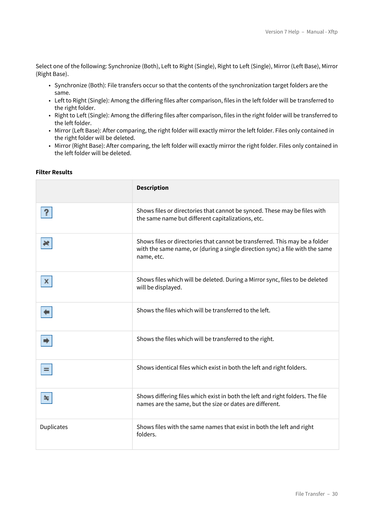Select one of the following: Synchronize (Both), Left to Right (Single), Right to Left (Single), Mirror (Left Base), Mirror (Right Base).

- Synchronize (Both): File transfers occur so that the contents of the synchronization target folders are the same.
- Left to Right (Single): Among the differing files after comparison, files in the left folder will be transferred to the right folder.
- Right to Left (Single): Among the differing files after comparison, files in the right folder will be transferred to the left folder.
- Mirror (Left Base): After comparing, the right folder will exactly mirror the left folder. Files only contained in the right folder will be deleted.
- Mirror (Right Base): After comparing, the left folder will exactly mirror the right folder. Files only contained in the left folder will be deleted.

#### **Filter Results**

|                   | <b>Description</b>                                                                                                                                                        |
|-------------------|---------------------------------------------------------------------------------------------------------------------------------------------------------------------------|
|                   | Shows files or directories that cannot be synced. These may be files with<br>the same name but different capitalizations, etc.                                            |
|                   | Shows files or directories that cannot be transferred. This may be a folder<br>with the same name, or (during a single direction sync) a file with the same<br>name, etc. |
|                   | Shows files which will be deleted. During a Mirror sync, files to be deleted<br>will be displayed.                                                                        |
|                   | Shows the files which will be transferred to the left.                                                                                                                    |
|                   | Shows the files which will be transferred to the right.                                                                                                                   |
| $=$               | Shows identical files which exist in both the left and right folders.                                                                                                     |
| ≈                 | Shows differing files which exist in both the left and right folders. The file<br>names are the same, but the size or dates are different.                                |
| <b>Duplicates</b> | Shows files with the same names that exist in both the left and right<br>folders.                                                                                         |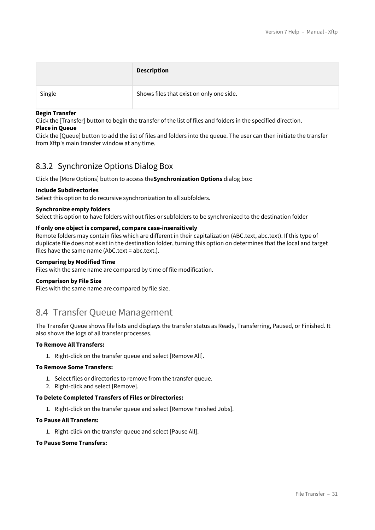|        | <b>Description</b>                       |
|--------|------------------------------------------|
| Single | Shows files that exist on only one side. |

#### **Begin Transfer**

Click the [Transfer] button to begin the transfer of the list of files and folders in the specified direction. **Place in Queue**

Click the [Queue] button to add the list of files and folders into the queue. The user can then initiate the transfer from Xftp's main transfer window at any time.

### <span id="page-30-0"></span>8.3.2 Synchronize Options Dialog Box

Click the [More Options] button to access the**Synchronization Options** dialog box:

#### **Include Subdirectories**

Select this option to do recursive synchronization to all subfolders.

#### **Synchronize empty folders**

Select this option to have folders without files or subfolders to be synchronized to the destination folder

#### **If only one object is compared, compare case-insensitively**

Remote folders may contain files which are different in their capitalization (ABC.text, abc.text). If this type of duplicate file does not exist in the destination folder, turning this option on determines that the local and target files have the same name (AbC.text = abc.text.).

#### **Comparing by Modified Time**

Files with the same name are compared by time of file modification.

#### **Comparison by File Size**

Files with the same name are compared by file size.

## <span id="page-30-1"></span>8.4 Transfer Queue Management

The Transfer Queue shows file lists and displays the transfer status as Ready, Transferring, Paused, or Finished. It also shows the logs of all transfer processes.

#### **To Remove All Transfers:**

1. Right-click on the transfer queue and select [Remove All].

#### **To Remove Some Transfers:**

- 1. Select files or directories to remove from the transfer queue.
- 2. Right-click and select [Remove].

#### **To Delete Completed Transfers of Files or Directories:**

1. Right-click on the transfer queue and select [Remove Finished Jobs].

#### **To Pause All Transfers:**

1. Right-click on the transfer queue and select [Pause All].

#### **To Pause Some Transfers:**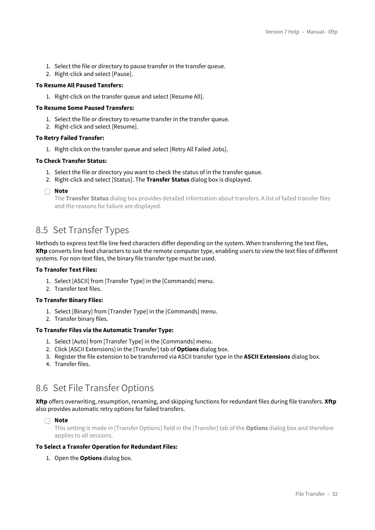- 1. Select the file or directory to pause transfer in the transfer queue.
- 2. Right-click and select [Pause].

#### **To Resume All Paused Tansfers:**

1. Right-click on the transfer queue and select [Resume All].

#### **To Resume Some Paused Transfers:**

- 1. Select the file or directory to resume transfer in the transfer queue.
- 2. Right-click and select [Resume].

#### **To Retry Failed Transfer:**

1. Right-click on the transfer queue and select [Retry All Failed Jobs].

#### **To Check Transfer Status:**

- 1. Select the file or directory you want to check the status of in the transfer queue.
- 2. Right-click and select [Status]. The **Transfer Status** dialog box is displayed.
- **Note**

The **Transfer Status** dialog box provides detailed information about transfers. A list of failed transfer files and the reasons for failure are displayed.

### <span id="page-31-0"></span>8.5 Set Transfer Types

Methods to express text file line feed characters differ depending on the system. When transferring the text files, **Xftp** converts line feed characters to suit the remote computer type, enabling users to view the text files of different systems. For non-text files, the binary file transfer type must be used.

#### **To Transfer Text Files:**

- 1. Select [ASCII] from [Transfer Type] in the [Commands] menu.
- 2. Transfer text files.

#### **To Transfer Binary Files:**

- 1. Select [Binary] from [Transfer Type] in the [Commands] menu.
- 2. Transfer binary files.

#### **To Transfer Files via the Automatic Transfer Type:**

- 1. Select [Auto] from [Transfer Type] in the [Commands] menu.
- 2. Click [ASCII Extensions] in the [Transfer] tab of **Options** dialog box.
- 3. Register the file extension to be transferred via ASCII transfer type in the **ASCII Extensions** dialog box.
- 4. Transfer files.

## <span id="page-31-1"></span>8.6 Set File Transfer Options

**Xftp** offers overwriting, resumption, renaming, and skipping functions for redundant files during file transfers. **Xftp** also provides automatic retry options for failed transfers.

**Note**

This setting is made in [Transfer Options] field in the [Transfer] tab of the **Options** dialog box and therefore applies to all sessions.

#### **To Select a Transfer Operation for Redundant Files:**

1. Open the **Options** dialog box.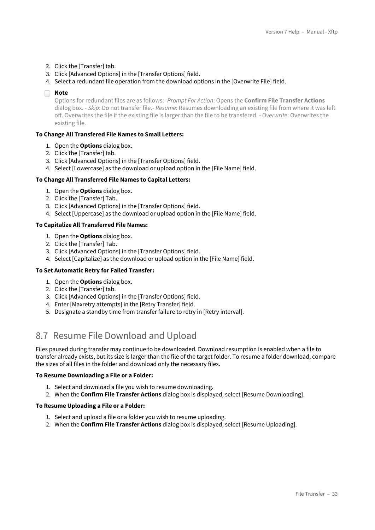- 2. Click the [Transfer] tab.
- 3. Click [Advanced Options] in the [Transfer Options] field.
- 4. Select a redundant file operation from the download options in the [Overwrite File] field.

#### **Note**

Options for redundant files are as follows:- *Prompt For Action*: Opens the **Confirm File Transfer Actions** dialog box. - *Skip*: Do not transfer file.- *Resume*: Resumes downloading an existing file from where it was left off. Overwrites the file if the existing file is larger than the file to be transfered. - *Overwrite*: Overwrites the existing file.

#### **To Change All Transfered File Names to Small Letters:**

- 1. Open the **Options** dialog box.
- 2. Click the [Transfer] tab.
- 3. Click [Advanced Options] in the [Transfer Options] field.
- 4. Select [Lowercase] as the download or upload option in the [File Name] field.

#### **To Change All Transferred File Names to Capital Letters:**

- 1. Open the **Options** dialog box.
- 2. Click the [Transfer] Tab.
- 3. Click [Advanced Options] in the [Transfer Options] field.
- 4. Select [Uppercase] as the download or upload option in the [File Name] field.

#### **To Capitalize All Transferred File Names:**

- 1. Open the **Options** dialog box.
- 2. Click the [Transfer] Tab.
- 3. Click [Advanced Options] in the [Transfer Options] field.
- 4. Select [Capitalize] as the download or upload option in the [File Name] field.

#### **To Set Automatic Retry for Failed Transfer:**

- 1. Open the **Options** dialog box.
- 2. Click the [Transfer] tab.
- 3. Click [Advanced Options] in the [Transfer Options] field.
- 4. Enter [Maxretry attempts] in the [Retry Transfer] field.
- 5. Designate a standby time from transfer failure to retry in [Retry interval].

## <span id="page-32-0"></span>8.7 Resume File Download and Upload

Files paused during transfer may continue to be downloaded. Download resumption is enabled when a file to transfer already exists, but its size is larger than the file of the target folder. To resume a folder download, compare the sizes of all files in the folder and download only the necessary files.

#### **To Resume Downloading a File or a Folder:**

- 1. Select and download a file you wish to resume downloading.
- 2. When the **Confirm File Transfer Actions** dialog box is displayed, select [Resume Downloading].

#### **To Resume Uploading a File or a Folder:**

- 1. Select and upload a file or a folder you wish to resume uploading.
- 2. When the **Confirm File Transfer Actions** dialog box is displayed, select [Resume Uploading].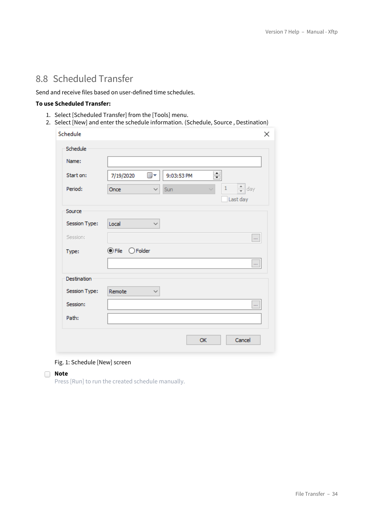## <span id="page-33-0"></span>8.8 Scheduled Transfer

Send and receive files based on user-defined time schedules.

#### **To use Scheduled Transfer:**

- 1. Select [Scheduled Transfer] from the [Tools] menu.
- 2. Select [New] and enter the schedule information. (Schedule, Source , Destination)

| Schedule<br>× |                                                                             |  |  |  |  |
|---------------|-----------------------------------------------------------------------------|--|--|--|--|
| Schedule      |                                                                             |  |  |  |  |
| Name:         |                                                                             |  |  |  |  |
| Start on:     | 싂<br>7/19/2020<br>▦▾<br>9:03:53 PM                                          |  |  |  |  |
| Period:       | $\frac{1}{\tau}$<br>$\,1\,$<br>day<br>Sun<br>Once<br>$\checkmark$<br>$\sim$ |  |  |  |  |
|               | Last day                                                                    |  |  |  |  |
| Source        |                                                                             |  |  |  |  |
| Session Type: | Local<br>✓                                                                  |  |  |  |  |
| Session:      | $\ldots$                                                                    |  |  |  |  |
| Type:         | $\odot$ File<br>$\bigcirc$ Folder                                           |  |  |  |  |
|               |                                                                             |  |  |  |  |
| Destination   |                                                                             |  |  |  |  |
| Session Type: | Remote<br>$\checkmark$                                                      |  |  |  |  |
| Session:      |                                                                             |  |  |  |  |
| Path:         |                                                                             |  |  |  |  |
|               |                                                                             |  |  |  |  |
|               | Cancel<br>OK                                                                |  |  |  |  |
|               |                                                                             |  |  |  |  |

#### Fig. 1: Schedule [New] screen

#### **Note**

Press [Run] to run the created schedule manually.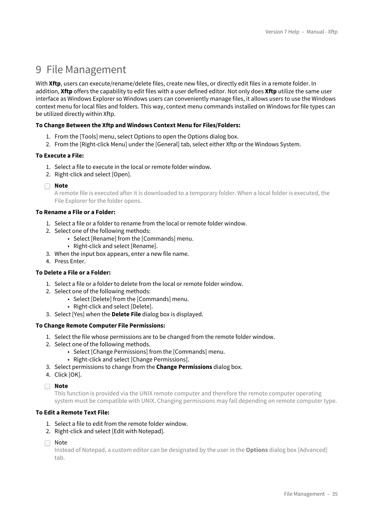## <span id="page-34-0"></span>9 File Management

With Xftp, users can execute/rename/delete files, create new files, or directly edit files in a remote folder. In addition, **Xftp** offers the capability to edit files with a user defined editor. Not only does **Xftp** utilize the same user interface as Windows Explorer so Windows users can conveniently manage files, it allows users to use the Windows context menu for local files and folders. This way, context menu commands installed on Windows for file types can be utilized directly within Xftp.

#### **To Change Between the Xftp and Windows Context Menu for Files/Folders:**

- 1. From the [Tools] menu, select Options to open the Options dialog box.
- 2. From the [Right-click Menu] under the [General] tab, select either Xftp or the Windows System.

#### **To Execute a File:**

- 1. Select a file to execute in the local or remote folder window.
- 2. Right-click and select [Open].
- **Note**

A remote file is executed after it is downloaded to a temporary folder. When a local folder is executed, the File Explorer for the folder opens.

#### **To Rename a File or a Folder:**

- 1. Select a file or a folder to rename from the local or remote folder window.
- 2. Select one of the following methods:
	- Select [Rename] from the [Commands] menu.
	- Right-click and select [Rename].
- 3. When the input box appears, enter a new file name.
- 4. Press Enter.

#### **To Delete a File or a Folder:**

- 1. Select a file or a folder to delete from the local or remote folder window.
- 2. Select one of the following methods:
	- Select [Delete] from the [Commands] menu.
	- Right-click and select [Delete].
- 3. Select [Yes] when the **Delete File** dialog box is displayed.

#### **To Change Remote Computer File Permissions:**

- 1. Select the file whose permissions are to be changed from the remote folder window.
- 2. Select one of the following methods.
	- Select [Change Permissions] from the [Commands] menu.
	- Right-click and select [Change Permissions].
- 3. Select permissions to change from the **Change Permissions** dialog box.
- 4. Click [OK].

### **Note**

This function is provided via the UNIX remote computer and therefore the remote computer operating system must be compatible with UNIX. Changing permissions may fail depending on remote computer type.

#### **To Edit a Remote Text File:**

- 1. Select a file to edit from the remote folder window.
- 2. Right-click and select [Edit with Notepad].
- □ Note

Instead of Notepad, a custom editor can be designated by the user in the **Options** dialog box [Advanced] tab.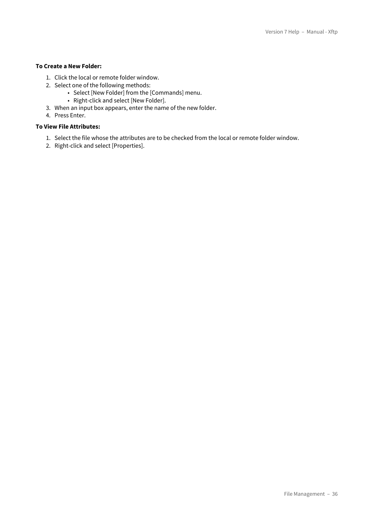### **To Create a New Folder:**

- 1. Click the local or remote folder window.
- 2. Select one of the following methods:
	- Select [New Folder] from the [Commands] menu.
	- Right-click and select [New Folder].
- 3. When an input box appears, enter the name of the new folder.
- 4. Press Enter.

#### **To View File Attributes:**

- 1. Select the file whose the attributes are to be checked from the local or remote folder window.
- 2. Right-click and select [Properties].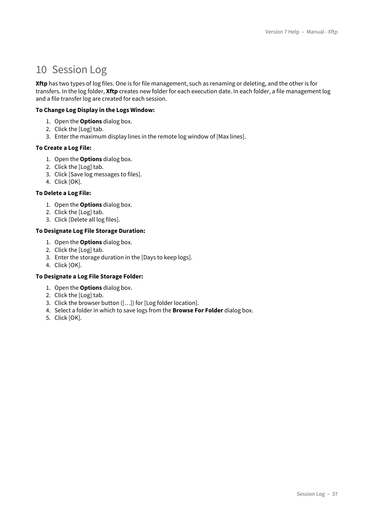## <span id="page-36-0"></span>10 Session Log

**Xftp** has two types of log files. One is for file management, such as renaming or deleting, and the other is for transfers. In the log folder, **Xftp** creates new folder for each execution date. In each folder, a file management log and a file transfer log are created for each session.

#### **To Change Log Display in the Logs Window:**

- 1. Open the **Options** dialog box.
- 2. Click the [Log] tab.
- 3. Enter the maximum display lines in the remote log window of [Max lines].

#### **To Create a Log File:**

- 1. Open the **Options** dialog box.
- 2. Click the [Log] tab.
- 3. Click [Save log messages to files].
- 4. Click [OK].

#### **To Delete a Log File:**

- 1. Open the **Options** dialog box.
- 2. Click the [Log] tab.
- 3. Click [Delete all log files].

#### **To Designate Log File Storage Duration:**

- 1. Open the **Options** dialog box.
- 2. Click the [Log] tab.
- 3. Enter the storage duration in the [Days to keep logs].
- 4. Click [OK].

#### **To Designate a Log File Storage Folder:**

- 1. Open the **Options** dialog box.
- 2. Click the [Log] tab.
- 3. Click the browser button ([…]) for [Log folder location].
- 4. Select a folder in which to save logs from the **Browse For Folder** dialog box.
- 5. Click [OK].